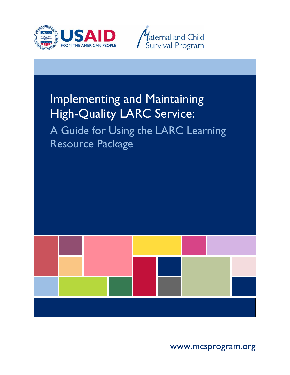



# Implementing and Maintaining High-Quality LARC Service:

A Guide for Using the LARC Learning Resource Package



www.mcsprogram.org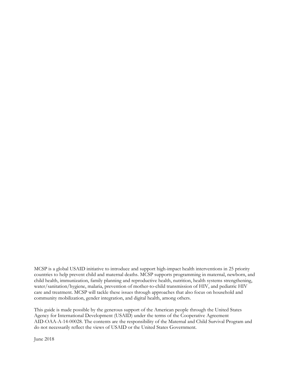MCSP is a global USAID initiative to introduce and support high-impact health interventions in 25 priority countries to help prevent child and maternal deaths. MCSP supports programming in maternal, newborn, and child health, immunization, family planning and reproductive health, nutrition, health systems strengthening, water/sanitation/hygiene, malaria, prevention of mother-to-child transmission of HIV, and pediatric HIV care and treatment. MCSP will tackle these issues through approaches that also focus on household and community mobilization, gender integration, and digital health, among others.

This guide is made possible by the generous support of the American people through the United States Agency for International Development (USAID) under the terms of the Cooperative Agreement AID-OAA-A-14-00028. The contents are the responsibility of the Maternal and Child Survival Program and do not necessarily reflect the views of USAID or the United States Government.

June 2018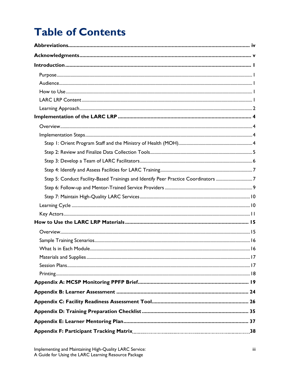# **Table of Contents**

| Step 5: Conduct Facility-Based Trainings and Identify Peer Practice Coordinators 7 |
|------------------------------------------------------------------------------------|
|                                                                                    |
|                                                                                    |
|                                                                                    |
|                                                                                    |
|                                                                                    |
|                                                                                    |
|                                                                                    |
|                                                                                    |
|                                                                                    |
|                                                                                    |
|                                                                                    |
|                                                                                    |
|                                                                                    |
|                                                                                    |
|                                                                                    |
|                                                                                    |
|                                                                                    |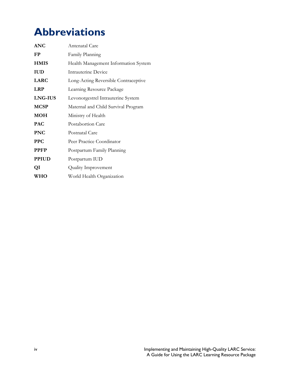# <span id="page-3-0"></span>**Abbreviations**

| <b>ANC</b>   | Antenatal Care                       |
|--------------|--------------------------------------|
| FP           | Family Planning                      |
| <b>HMIS</b>  | Health Management Information System |
| <b>IUD</b>   | Intrauterine Device                  |
| <b>LARC</b>  | Long-Acting Reversible Contraceptive |
| <b>LRP</b>   | Learning Resource Package            |
| LNG-IUS      | Levonorgestrel Intrauterine System   |
| <b>MCSP</b>  | Maternal and Child Survival Program  |
| <b>MOH</b>   | Ministry of Health                   |
| <b>PAC</b>   | Postabortion Care                    |
| <b>PNC</b>   | Postnatal Care                       |
| <b>PPC</b>   | Peer Practice Coordinator            |
| <b>PPFP</b>  | Postpartum Family Planning           |
| <b>PPIUD</b> | Postpartum IUD                       |
| QI           | Quality Improvement                  |
| <b>WHO</b>   | World Health Organization            |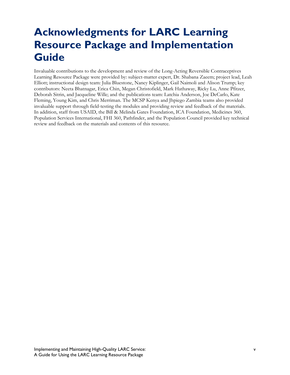# <span id="page-4-0"></span>**Acknowledgments for LARC Learning Resource Package and Implementation Guide**

Invaluable contributions to the development and review of the Long-Acting Reversible Contraceptives Learning Resource Package were provided by: subject-matter expert, Dr. Shabana Zaeem; project lead, Leah Elliott; instructional design team: Julia Bluestone, Nancy Kiplinger, Gail Naimoli and Alison Trump; key contributors: Neeta Bhatnagar, Erica Chin, Megan Christofield, Mark Hathaway, Ricky Lu, Anne Pfitzer, Deborah Sitrin, and Jacqueline Wille; and the publications team: Latchia Anderson, Joe DeCarlo, Kate Fleming, Young Kim, and Chris Merriman. The MCSP Kenya and Jhpiego Zambia teams also provided invaluable support through field-testing the modules and providing review and feedback of the materials. In addition, staff from USAID, the Bill & Melinda Gates Foundation, ICA Foundation, Medicines 360, Population Services International, FHI 360, Pathfinder, and the Population Council provided key technical review and feedback on the materials and contents of this resource.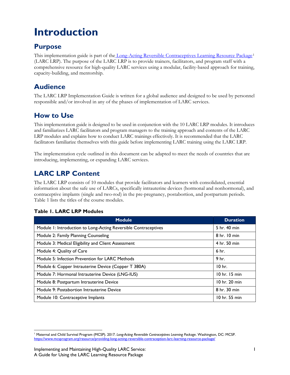# <span id="page-6-0"></span>**Introduction**

## <span id="page-6-1"></span>**Purpose**

This implementation guide is part of the [Long-Acting Reversible Contraceptives](https://www.mcsprogram.org/resource/providing-long-acting-reversible-contraception-larc-learning-resource-package/) Learning Resource Package<sup>[1](#page-6-5)</sup> (LARC LRP). The purpose of the LARC LRP is to provide trainers, facilitators, and program staff with a comprehensive resource for high-quality LARC services using a modular, facility-based approach for training, capacity-building, and mentorship.

## <span id="page-6-2"></span>**Audience**

The LARC LRP Implementation Guide is written for a global audience and designed to be used by personnel responsible and/or involved in any of the phases of implementation of LARC services.

## <span id="page-6-3"></span>**How to Use**

This implementation guide is designed to be used in conjunction with the 10 LARC LRP modules. It introduces and familiarizes LARC facilitators and program managers to the training approach and contents of the LARC LRP modules and explains how to conduct LARC trainings effectively. It is recommended that the LARC facilitators familiarize themselves with this guide before implementing LARC training using the LARC LRP.

The implementation cycle outlined in this document can be adapted to meet the needs of countries that are introducing, implementing, or expanding LARC services.

## <span id="page-6-4"></span>**LARC LRP Content**

The LARC LRP consists of 10 modules that provide facilitators and learners with consolidated, essential information about the safe use of LARCs, specifically intrauterine devices (hormonal and nonhormonal), and contraceptive implants (single and two-rod) in the pre-pregnancy, postabortion, and postpartum periods. Table 1 lists the titles of the course modules.

| <b>Module</b>                                                   | <b>Duration</b>   |
|-----------------------------------------------------------------|-------------------|
| Module 1: Introduction to Long-Acting Reversible Contraceptives | 5 hr. 40 min      |
| Module 2: Family Planning Counseling                            | 8 hr. 10 min      |
| Module 3: Medical Eligibility and Client Assessment             | 4 hr. 50 min      |
| Module 4: Quality of Care                                       | 6 <sub>hr.</sub>  |
| Module 5: Infection Prevention for LARC Methods                 | 9 <sub>hr.</sub>  |
| Module 6: Copper Intrauterine Device (Copper T 380A)            | 10 <sub>hr.</sub> |
| Module 7: Hormonal Intrauterine Device (LNG-IUS)                | 10 hr. 15 min     |
| Module 8: Postpartum Intrauterine Device                        | 10 hr. 20 min     |
| Module 9: Postabortion Intrauterine Device                      | 8 hr. 30 min      |
| Module 10: Contraceptive Implants                               | 10 hr. 55 min     |

### **Table 1. LARC LRP Modules**

<span id="page-6-5"></span> $\overline{a}$ <sup>1</sup> Maternal and Child Survival Program (MCSP). 2017. *Long-Acting Reversible Contraceptives Learning Package*. Washington, DC: MCSP. <https://www.mcsprogram.org/resource/providing-long-acting-reversible-contraception-larc-learning-resource-package/>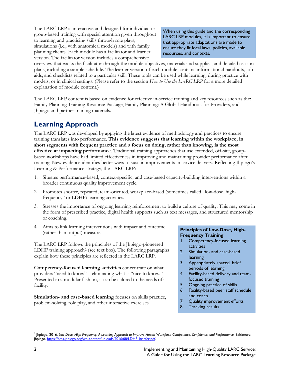The LARC LRP is interactive and designed for individual or group-based training with special attention given throughout to learning and practicing skills through role plays, simulations (i.e., with anatomical models) and with family planning clients. Each module has a facilitator and learner version. The facilitator version includes a comprehensive

When using this guide and the corresponding LARC LRP modules, it is important to ensure that appropriate adaptations are made to ensure they fit local laws, policies, available resources, and contexts.

overview that walks the facilitator through the module objectives, materials and supplies, and detailed session plans, including a sample schedule. The learner version of each module contains informational handouts, job aids, and checklists related to a particular skill. These tools can be used while learning, during practice with models, or in clinical settings. (Please refer to the section *How to Use the LARC LRP* for a more detailed explanation of module content.)

The LARC LRP content is based on evidence for effective in-service training and key resources such as the: Family Planning Training Resource Package, Family Planning: A Global Handbook for Providers, and Jhpiego and partner training materials.

# <span id="page-7-0"></span>**Learning Approach**

The LARC LRP was developed by applying the latest evidence of methodology and practices to ensure training translates into performance. **This evidence suggests that learning within the workplace, in short segments with frequent practice and a focus on doing, rather than knowing, is the most effective at impacting performance**. Traditional training approaches that use extended, off-site, groupbased workshops have had limited effectiveness in improving and maintaining provider performance after training. New evidence identifies better ways to sustain improvements in service delivery. Reflecting Jhpiego's Learning & Performance strategy, the LARC LRP:

- 1. Situates performance-based, context-specific, and case-based capacity-building interventions within a broader continuous quality improvement cycle.
- 2. Promotes shorter, repeated, team-oriented, workplace-based (sometimes called "low-dose, highfrequency" or LDHF) learning activities.
- 3. Stresses the importance of ongoing learning reinforcement to build a culture of quality. This may come in the form of prescribed practice, digital health supports such as text messages, and structured mentorship or coaching.
- 4. Aims to link learning interventions with impact and outcome (rather than output) measures.

The LARC LRP follows the principles of the Jhpiego-pioneered LDHF training approach<sup>[2](#page-7-1)</sup> (see text box). The following paragraphs explain how these principles are reflected in the LARC LRP.

**Competency-focused learning activities** concentrate on what providers "need to know"—eliminating what is "nice to know." Presented in a modular fashion, it can be tailored to the needs of a facility.

**Simulation- and case-based learning** focuses on skills practice, problem-solving, role play, and other interactive exercises.

#### **Principles of Low-Dose, High-Frequency Training**

- 1. Competency-focused learning activities
- 2. Simulation- and case-based learning
- 3. Appropriately spaced, brief periods of learning
- 4. Facility-based delivery and teamfocused training
- 5. Ongoing practice of skills
- 6. Facility-based peer staff schedule and coach
- 7. Quality improvement efforts
- 8. Tracking results

<span id="page-7-1"></span> $\overline{a}$ <sup>2</sup> Jhpiego. 2016. *Low Dose, High Frequency: A Learning Approach to Improve Health Workforce Competence, Confidence, and Performance*. Baltimore: Jhpiego[. https://hms.jhpiego.org/wp-content/uploads/2016/08/LDHF\\_briefer.pdf.](https://hms.jhpiego.org/wp-content/uploads/2016/08/LDHF_briefer.pdf)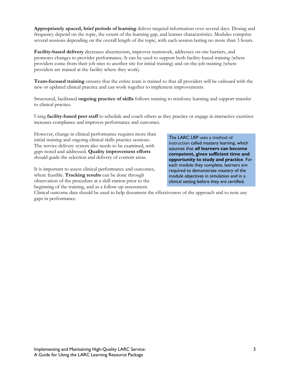**Appropriately spaced, brief periods of learning** deliver targeted information over several days. Dosing and frequency depend on the topic, the extent of the learning gap, and learner characteristics. Modules comprise several sessions depending on the overall length of the topic, with each session lasting no more than 3 hours.

**Facility-based delivery** decreases absenteeism, improves teamwork, addresses on-site barriers, and promotes changes to provider performance. It can be used to support both facility-based training (where providers come from their job sites to another site for initial training) and on-the-job training (where providers are trained at the facility where they work).

**Team-focused training** ensures that the entire team is trained so that all providers will be onboard with the new or updated clinical practice and can work together to implement improvements.

Structured, facilitated **ongoing practice of skills** follows training to reinforce learning and support transfer to clinical practice.

Using **facility-based peer staff** to schedule and coach others as they practice or engage in interactive exercises increases compliance and improves performance and outcomes.

However, change in clinical performance requires more than initial training and ongoing clinical skills practice sessions. The service delivery system also needs to be examined, with gaps noted and addressed. **Quality improvement efforts**  should guide the selection and delivery of content areas.

It is important to assess clinical performance and outcomes, where feasible. **Tracking results** can be done through observation of the procedure at a skill station prior to the beginning of the training, and as a follow-up assessment.

The LARC LRP uses a method of instruction called mastery learning, which assumes that *all* **learners can become competent, given sufficient time and opportunity to study and practice**. For each module they complete, learners are required to demonstrate mastery of the module objectives in simulation and in a clinical setting before they are certified.

Clinical outcome data should be used to help document the effectiveness of the approach and to note any gaps in performance.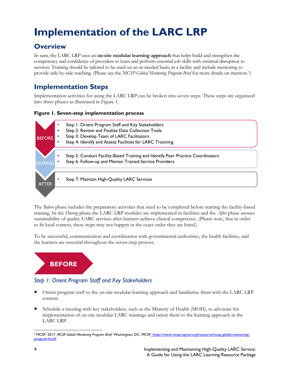# <span id="page-9-0"></span>**Implementation of the LARC LRP**

# <span id="page-9-1"></span>**Overview**

In sum, the LARC LRP uses an **on-site modular learning approach** that helps build and strengthen the competency and confidence of providers to learn and perform essential job skills with minimal disruption to services. Training should be tailored to be used on an as-needed basis, in a facility and include mentoring to provide side-by-side teaching. (Please see the *MCSP Global Mentoring Program Brief* for more details on mentors.[3\)](#page-9-4)

## <span id="page-9-2"></span>**Implementation Steps**

Implementation activities for using the LARC LRP can be broken into seven steps. These steps are organized into three phases as illustrated in Figure 1.

#### **Figure 1. Seven-step implementation process**



The *Before* phase includes the preparatory activities that need to be completed before starting the facility-based training. In the *During* phase the LARC LRP modules are implemented in facilities and the *After* phase assures sustainability of quality LARC services after learners achieve clinical competence. (Please note, that in order to fit local context, these steps may not happen in the exact order they are listed.)

To be successful, communication and coordination with governmental authorities, the health facilities, and the learners are essential throughout the seven-step process.



## <span id="page-9-3"></span>*Step 1: Orient Program Staff and Key Stakeholders*

- Orient program staff to the on-site modular learning approach and familiarize them with the LARC LRP content.
- Schedule a meeting with key stakeholders, such as the Ministry of Health (MOH), to advocate for implementation of on-site modular LARC trainings and orient them to the learning approach in the LARC LRP.

<span id="page-9-4"></span> $\overline{a}$ <sup>3</sup> MCSP. 2017. *MCSP Global Mentoring Program Brief*. Washington, DC: MCSP. https://www.mcsprogram.org/resource/mcsp-global-mentoringprogram-brief/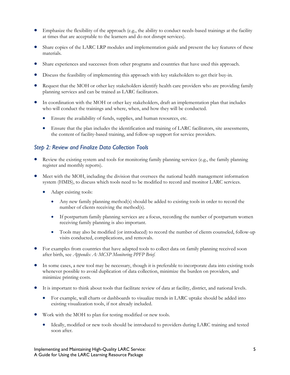- Emphasize the flexibility of the approach (e.g., the ability to conduct needs-based trainings at the facility at times that are acceptable to the learners and do not disrupt services).
- Share copies of the LARC LRP modules and implementation guide and present the key features of these materials.
- Share experiences and successes from other programs and countries that have used this approach.
- Discuss the feasibility of implementing this approach with key stakeholders to get their buy-in.
- Request that the MOH or other key stakeholders identify health care providers who are providing family planning services and can be trained as LARC facilitators.
- In coordination with the MOH or other key stakeholders, draft an implementation plan that includes who will conduct the trainings and where, when, and how they will be conducted.
	- Ensure the availability of funds, supplies, and human resources, etc.
	- Ensure that the plan includes the identification and training of LARC facilitators, site assessments, the content of facility-based training, and follow-up support for service providers.

### <span id="page-10-0"></span>*Step 2: Review and Finalize Data Collection Tools*

- Review the existing system and tools for monitoring family planning services (e.g., the family planning register and monthly reports).
- Meet with the MOH, including the division that oversees the national health management information system (HMIS), to discuss which tools need to be modified to record and monitor LARC services.
	- Adapt existing tools:
		- Any new family planning method(s) should be added to existing tools in order to record the number of clients receiving the method(s).
		- If postpartum family planning services are a focus, recording the number of postpartum women receiving family planning is also important.
		- Tools may also be modified (or introduced) to record the number of clients counseled, follow-up visits conducted, complications, and removals.
- For examples from countries that have adapted tools to collect data on family planning received soon after birth, see *Appendix A: MCSP Monitoring PPFP Brief.*
- In some cases, a new tool may be necessary, though it is preferable to incorporate data into existing tools whenever possible to avoid duplication of data collection, minimize the burden on providers, and minimize printing costs.
- It is important to think about tools that facilitate review of data at facility, district, and national levels.
	- For example, wall charts or dashboards to visualize trends in LARC uptake should be added into existing visualization tools, if not already included.
- Work with the MOH to plan for testing modified or new tools.
	- Ideally, modified or new tools should be introduced to providers during LARC training and tested soon after.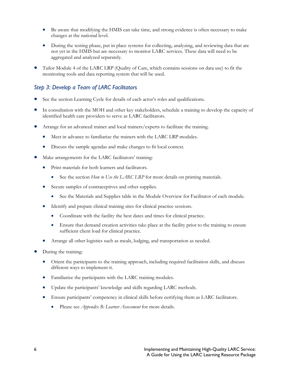- Be aware that modifying the HMIS can take time, and strong evidence is often necessary to make changes at the national level.
- During the testing phase, put in place systems for collecting, analyzing, and reviewing data that are not yet in the HMIS but are necessary to monitor LARC services. These data will need to be aggregated and analyzed separately.
- Tailor Module 4 of the LARC LRP (Quality of Care, which contains sessions on data use) to fit the monitoring tools and data reporting system that will be used.

### <span id="page-11-0"></span>*Step 3: Develop a Team of LARC Facilitators*

- See the section Learning Cycle for details of each actor's roles and qualifications.
- In consultation with the MOH and other key stakeholders, schedule a training to develop the capacity of identified health care providers to serve as LARC facilitators.
- Arrange for an advanced trainer and local trainers/experts to facilitate the training.
	- Meet in advance to familiarize the trainers with the LARC LRP modules.
	- Discuss the sample agendas and make changes to fit local context.
- Make arrangements for the LARC facilitators' training:
	- Print materials for both learners and facilitators.
		- See the section *How to Use the LARC LRP* for more details on printing materials.
	- Secure samples of contraceptives and other supplies.
		- See the Materials and Supplies table in the Module Overview for Facilitator of each module.
	- Identify and prepare clinical training sites for clinical practice sessions.
		- Coordinate with the facility the best dates and times for clinical practice.
		- Ensure that demand creation activities take place at the facility prior to the training to ensure sufficient client load for clinical practice.
	- Arrange all other logistics such as meals, lodging, and transportation as needed.
- During the training:
	- Orient the participants to the training approach, including required facilitation skills, and discuss different ways to implement it.
	- Familiarize the participants with the LARC training modules.
	- Update the participants' knowledge and skills regarding LARC methods.
	- Ensure participants' competency in clinical skills before certifying them as LARC facilitators.
		- Please see *Appendix B: Learner Assessment* for more details.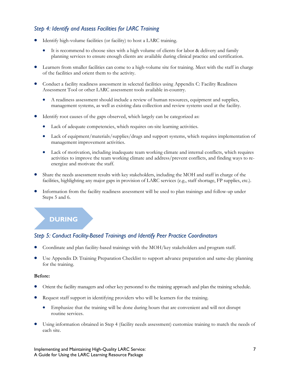### <span id="page-12-0"></span>*Step 4: Identify and Assess Facilities for LARC Training*

- Identify high-volume facilities (or facility) to host a LARC training.
	- It is recommend to choose sites with a high volume of clients for labor & delivery and family planning services to ensure enough clients are available during clinical practice and certification.
- Learners from smaller facilities can come to a high-volume site for training. Meet with the staff in charge of the facilities and orient them to the activity.
- Conduct a facility readiness assessment in selected facilities using Appendix C: Facility Readiness Assessment Tool or other LARC assessment tools available in-country.
	- A readiness assessment should include a review of human resources, equipment and supplies, management systems, as well as existing data collection and review systems used at the facility.
- Identify root causes of the gaps observed, which largely can be categorized as:
	- Lack of adequate competencies, which requires on-site learning activities.
	- Lack of equipment/materials/supplies/drugs and support systems, which requires implementation of management improvement activities.
	- Lack of motivation, including inadequate team working climate and internal conflicts, which requires activities to improve the team working climate and address/prevent conflicts, and finding ways to reenergize and motivate the staff.
- Share the needs assessment results with key stakeholders, including the MOH and staff in charge of the facilities, highlighting any major gaps in provision of LARC services (e.g., staff shortage, FP supplies, etc.).
- Information from the facility readiness assessment will be used to plan trainings and follow-up under Steps 5 and 6.

## **DURING**

### <span id="page-12-1"></span>*Step 5: Conduct Facility-Based Trainings and Identify Peer Practice Coordinators*

- Coordinate and plan facility-based trainings with the MOH/key stakeholders and program staff.
- Use Appendix D: Training Preparation Checklist to support advance preparation and same-day planning for the training.

#### **Before:**

- Orient the facility managers and other key personnel to the training approach and plan the training schedule.
- Request staff support in identifying providers who will be learners for the training.
	- Emphasize that the training will be done during hours that are convenient and will not disrupt routine services.
- Using information obtained in Step 4 (facility needs assessment) customize training to match the needs of each site.

Implementing and Maintaining High-Quality LARC Service: 7 A Guide for Using the LARC Learning Resource Package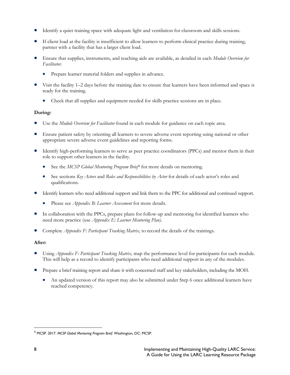- Identify a quiet training space with adequate light and ventilation for classroom and skills sessions.
- If client load at the facility is insufficient to allow learners to perform clinical practice during training, partner with a facility that has a larger client load.
- Ensure that supplies, instruments, and teaching aids are available, as detailed in each *Module Overview for Facilitator*.
	- Prepare learner material folders and supplies in advance.
- Visit the facility 1–2 days before the training date to ensure that learners have been informed and space is ready for the training.
	- Check that all supplies and equipment needed for skills practice sessions are in place.

#### **During:**

- Use the *Module Overview for Facilitator* found in each module for guidance on each topic area.
- Ensure patient safety by orienting all learners to severe adverse event reporting using national or other appropriate severe adverse event guidelines and reporting forms.
- Identify high-performing learners to serve as peer practice coordinators (PPCs) and mentor them in their role to support other learners in the facility.
	- See the *MCSP Global Mentoring Program Brief*[4](#page-13-0) for more details on mentoring.
	- See sections *Key Actors* and *Roles and Responsibilities by Actor* for details of each actor's roles and qualifications.
- Identify learners who need additional support and link them to the PPC for additional and continued support.
	- Please see *Appendix B: Learner Assessment* for more details.
- In collaboration with the PPCs, prepare plans for follow-up and mentoring for identified learners who need more practice (use *Appendix E: Learner Mentoring Plan).*
- Complete *Appendix F: Participant Tracking Matrix,* to record the details of the trainings.

#### **After:**

- Using *Appendix F: Participant Tracking Matrix,* map the performance level for participants for each module. This will help as a record to identify participants who need additional support in any of the modules.
- Prepare a brief training report and share it with concerned staff and key stakeholders, including the MOH.
	- An updated version of this report may also be submitted under Step 6 once additional learners have reached competency.

<span id="page-13-0"></span> <sup>4</sup> MCSP. 2017. *MCSP Global Mentoring Program Brief*. Washington, DC: MCSP.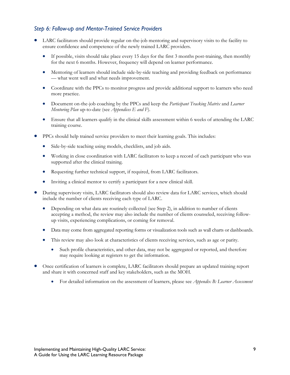### <span id="page-14-0"></span>*Step 6: Follow-up and Mentor-Trained Service Providers*

- LARC facilitators should provide regular on-the-job mentoring and supervisory visits to the facility to ensure confidence and competence of the newly trained LARC providers.
	- If possible, visits should take place every 15 days for the first 3 months post-training, then monthly for the next 6 months. However, frequency will depend on learner performance.
	- Mentoring of learners should include side-by-side teaching and providing feedback on performance — what went well and what needs improvement.
	- Coordinate with the PPCs to monitor progress and provide additional support to learners who need more practice.
	- Document on-the-job coaching by the PPCs and keep the *Participant Tracking Matrix* and *Learner Mentoring Plan* up-to-date (see *Appendices E and F*).
	- Ensure that all learners qualify in the clinical skills assessment within 6 weeks of attending the LARC training course.
- PPCs should help trained service providers to meet their learning goals. This includes:
	- Side-by-side teaching using models, checklists, and job aids.
	- Working in close coordination with LARC facilitators to keep a record of each participant who was supported after the clinical training.
	- Requesting further technical support, if required, from LARC facilitators.
	- Inviting a clinical mentor to certify a participant for a new clinical skill.
- During supervisory visits, LARC facilitators should also review data for LARC services, which should include the number of clients receiving each type of LARC.
	- Depending on what data are routinely collected (see Step 2), in addition to number of clients accepting a method, the review may also include the number of clients counseled, receiving followup visits, experiencing complications, or coming for removal.
	- Data may come from aggregated reporting forms or visualization tools such as wall charts or dashboards.
	- This review may also look at characteristics of clients receiving services, such as age or parity.
		- Such profile characteristics, and other data, may not be aggregated or reported, and therefore may require looking at registers to get the information.
- Once certification of learners is complete, LARC facilitators should prepare an updated training report and share it with concerned staff and key stakeholders, such as the MOH.
	- For detailed information on the assessment of learners, please see *Appendix B: Learner Assessment*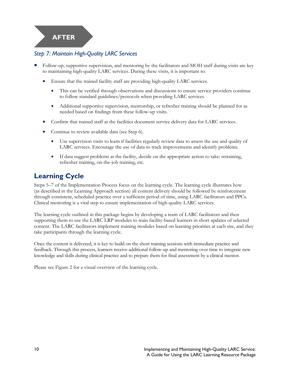## **AFTER**

### <span id="page-15-0"></span>*Step 7: Maintain High-Quality LARC Services*

- Follow-up, supportive supervision, and mentoring by the facilitators and MOH staff during visits are key to maintaining high-quality LARC services. During these visits, it is important to:
	- Ensure that the trained facility staff are providing high-quality LARC services.
		- This can be verified through observations and discussions to ensure service providers continue to follow standard guidelines/protocols when providing LARC services.
		- Additional supportive supervision, mentorship, or refresher training should be planned for as needed based on findings from these follow-up visits.
	- Confirm that trained staff at the facilities document service delivery data for LARC services.
	- Continue to review available data (see Step 6).
		- Use supervision visits to learn if facilities regularly review data to assess the use and quality of LARC services. Encourage the use of data to track improvements and identify problems.
		- If data suggest problems at the facility, decide on the appropriate action to take: retraining, refresher training, on-the-job training, etc.

## <span id="page-15-1"></span>**Learning Cycle**

Steps 5–7 of the Implementation Process focus on the learning cycle. The learning cycle illustrates how (as described in the Learning Approach section) all content delivery should be followed by reinforcement through consistent, scheduled practice over a sufficient period of time, using LARC facilitators and PPCs. Clinical mentoring is a vital step to ensure implementation of high-quality LARC services.

The learning cycle outlined in this package begins by developing a team of LARC facilitators and then supporting them to use the LARC LRP modules to train facility-based learners in short updates of selected content. The LARC facilitators implement training modules based on learning priorities at each site, and they take participants through the learning cycle.

Once the content is delivered, it is key to build on the short training sessions with immediate practice and feedback. Through this process, learners receive additional follow-up and mentoring over time to integrate new knowledge and skills during clinical practice and to prepare them for final assessment by a clinical mentor.

Please see Figure 2 for a visual overview of the learning cycle.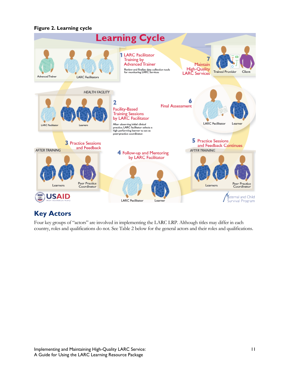#### **Figure 2. Learning cycle**



## <span id="page-16-0"></span>**Key Actors**

Four key groups of "actors" are involved in implementing the LARC LRP. Although titles may differ in each country, roles and qualifications do not. See Table 2 below for the general actors and their roles and qualifications.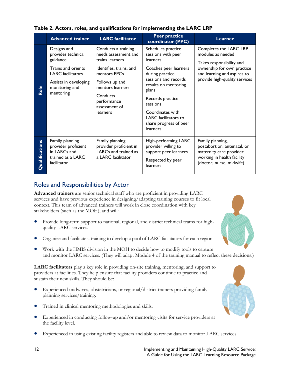|                       | <b>Advanced trainer</b>                                                                    | <b>LARC</b> facilitator                                                                 | <b>Peer practice</b><br>coordinator (PPC)                                                             | <b>Learner</b>                                                                                                                       |
|-----------------------|--------------------------------------------------------------------------------------------|-----------------------------------------------------------------------------------------|-------------------------------------------------------------------------------------------------------|--------------------------------------------------------------------------------------------------------------------------------------|
|                       | Designs and<br>provides technical<br>guidance                                              | Conducts a training<br>needs assessment and<br>trains learners                          | Schedules practice<br>sessions with peer<br>learners                                                  | Completes the LARC LRP<br>modules as needed<br>Takes responsibility and                                                              |
|                       | Trains and orients<br><b>LARC</b> facilitators                                             | Identifies, trains, and<br>mentors PPCs                                                 | Coaches peer learners<br>during practice                                                              | ownership for own practice<br>and learning and aspires to                                                                            |
| Role                  | Assists in developing<br>Follows up and<br>mentors learners<br>monitoring and              | sessions and records<br>results on mentoring<br>plans                                   | provide high-quality services                                                                         |                                                                                                                                      |
|                       | mentoring                                                                                  | Conducts<br>performance<br>assessment of                                                | Records practice<br>sessions                                                                          |                                                                                                                                      |
|                       |                                                                                            | learners                                                                                | Coordinates with<br><b>LARC</b> facilitators to<br>share progress of peer<br>learners                 |                                                                                                                                      |
| <b>Qualifications</b> | Family planning<br>provider proficient<br>in LARCs and<br>trained as a LARC<br>facilitator | Family planning<br>provider proficient in<br>LARCs and trained as<br>a LARC facilitator | High-performing LARC<br>provider willing to<br>support peer learners<br>Respected by peer<br>learners | Family planning,<br>postabortion, antenatal, or<br>maternity care provider<br>working in health facility<br>(doctor, nurse, midwife) |

#### **Table 2. Actors, roles, and qualifications for implementing the LARC LRP**

## Roles and Responsibilities by Actor

**Advanced trainers** are senior technical staff who are proficient in providing LARC services and have previous experience in designing/adapting training courses to fit local context. This team of advanced trainers will work in close coordination with key stakeholders (such as the MOH), and will:

- Provide long-term support to national, regional, and district technical teams for highquality LARC services.
- Organize and facilitate a training to develop a pool of LARC facilitators for each region.
- Work with the HMIS division in the MOH to decide how to modify tools to capture and monitor LARC services. (They will adapt Module 4 of the training manual to reflect these decisions.)

**LARC facilitators** play a key role in providing on-site training, mentoring, and support to providers at facilities. They help ensure that facility providers continue to practice and sustain their new skills. They should be:

- Experienced midwives, obstetricians, or regional/district trainers providing family planning services/training.
- Trained in clinical mentoring methodologies and skills.
- Experienced in conducting follow-up and/or mentoring visits for service providers at the facility level.
- Experienced in using existing facility registers and able to review data to monitor LARC services.



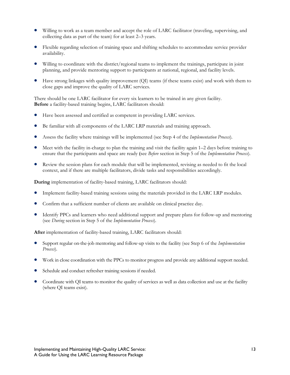- Willing to work as a team member and accept the role of LARC facilitator (traveling, supervising, and collecting data as part of the team) for at least 2–3 years.
- Flexible regarding selection of training space and shifting schedules to accommodate service provider availability.
- Willing to coordinate with the district/regional teams to implement the trainings, participate in joint planning, and provide mentoring support to participants at national, regional, and facility levels.
- Have strong linkages with quality improvement (QI) teams (if these teams exist) and work with them to close gaps and improve the quality of LARC services.

There should be one LARC facilitator for every six learners to be trained in any given facility. **Before** a facility-based training begins, LARC facilitators should:

- Have been assessed and certified as competent in providing LARC services.
- Be familiar with all components of the LARC LRP materials and training approach.
- Assess the facility where trainings will be implemented (see Step 4 of the *Implementation Process*)*.*
- Meet with the facility in-charge to plan the training and visit the facility again 1–2 days before training to ensure that the participants and space are ready (see *Before* section in Step 5 of the *Implementation Process*)*.*
- Review the session plans for each module that will be implemented, revising as needed to fit the local context, and if there are multiple facilitators, divide tasks and responsibilities accordingly.

**During** implementation of facility-based training, LARC facilitators should:

- Implement facility-based training sessions using the materials provided in the LARC LRP modules.
- Confirm that a sufficient number of clients are available on clinical practice day.
- Identify PPCs and learners who need additional support and prepare plans for follow-up and mentoring (see *During* section in Step 5 of the *Implementation Process*)*.*

After implementation of facility-based training, LARC facilitators should:

- Support regular on-the-job mentoring and follow-up visits to the facility (see Step 6 of the *Implementation Process*)*.*
- Work in close coordination with the PPCs to monitor progress and provide any additional support needed.
- Schedule and conduct refresher training sessions if needed.
- Coordinate with QI teams to monitor the quality of services as well as data collection and use at the facility (where QI teams exist).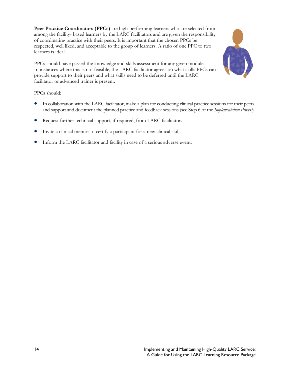**Peer Practice Coordinators (PPCs)** are high-performing learners who are selected from among the facility- based learners by the LARC facilitators and are given the responsibility of coordinating practice with their peers. It is important that the chosen PPCs be respected, well liked, and acceptable to the group of learners. A ratio of one PPC to two learners is ideal.

PPCs should have passed the knowledge and skills assessment for any given module. In instances where this is not feasible, the LARC facilitator agrees on what skills PPCs can provide support to their peers and what skills need to be deferred until the LARC facilitator or advanced trainer is present.

PPCs should:

- In collaboration with the LARC facilitator, make a plan for conducting clinical practice sessions for their peers and support and document the planned practice and feedback sessions (see Step 6 of the *Implementation Process*).
- Request further technical support, if required, from LARC facilitator.
- Invite a clinical mentor to certify a participant for a new clinical skill.
- Inform the LARC facilitator and facility in case of a serious adverse event.

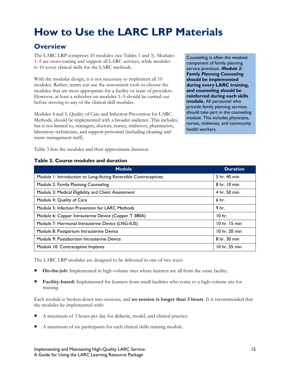# <span id="page-20-0"></span>**How to Use the LARC LRP Materials**

## <span id="page-20-1"></span>**Overview**

The LARC LRP comprises 10 modules (see Tables 1 and 3). Modules 1–5 are cross-cutting and support all LARC services, while modules 6–10 cover clinical skills for the LARC methods.

With the modular design, it is not necessary to implement all 10 modules. Rather, teams can use the assessment tools to choose the modules that are most appropriate for a facility or team of providers. However, at least a refresher on modules 1–5 should be carried out before moving to any of the clinical skill modules.

Modules 4 and 5, Quality of Care and Infection Prevention for LARC Methods, should be implemented with a broader audience. This includes, but is not limited to, managers, doctors, nurses, midwives, pharmacists, laboratory technicians, and support personnel (including cleaning and waste management staff).

Counseling is often the weakest component of family planning service provision. *Module 2: Family Planning Counseling* **should be implemented during every LARC training, and counseling should be reinforced during each skills module.** All personnel who provide family planning services should take part in the counseling module. This includes physicians, nurses, midwives, and community health workers.

Table 3 lists the modules and their approximate duration.

#### **Table 3. Course modules and duration**

| <b>Module</b>                                                   | <b>Duration</b>   |
|-----------------------------------------------------------------|-------------------|
| Module 1: Introduction to Long-Acting Reversible Contraceptives | 5 hr. 40 min      |
| Module 2: Family Planning Counseling                            | 8 hr. 10 min      |
| Module 3: Medical Eligibility and Client Assessment             | 4 hr. 50 min      |
| Module 4: Quality of Care                                       | 6 hr.             |
| Module 5: Infection Prevention for LARC Methods                 | 9 <sub>hr.</sub>  |
| Module 6: Copper Intrauterine Device (Copper T 380A)            | 10 <sub>hr</sub>  |
| Module 7: Hormonal Intrauterine Device (LNG-IUS)                | $10$ hr. $15$ min |
| Module 8: Postpartum Intrauterine Device                        | 10 hr. 20 min     |
| Module 9: Postabortion Intrauterine Device                      | 8 hr. 30 min      |
| Module 10: Contraceptive Implants                               | 10 hr. 55 min     |

The LARC LRP modules are designed to be delivered in one of two ways:

- **On-the-job**: Implemented in high-volume sites where learners are all from the same facility.
- **Facility-based:** Implemented for learners from small facilities who come to a high-volume site for training.

Each module is broken down into sessions, and **no session is longer than 3 hours**. It is recommended that the modules be implemented with:

- A maximum of 3 hours per day for didactic, model, and clinical practice.
- A maximum of six participants for each clinical skills training module.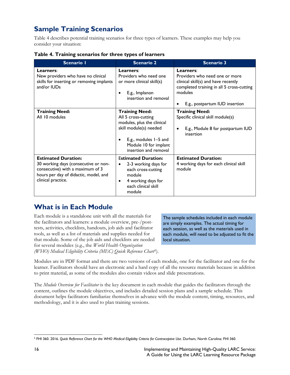# <span id="page-21-0"></span>**Sample Training Scenarios**

Table 4 describes potential training scenarios for three types of learners. These examples may help you consider your situation:

|  |  | Table 4. Training scenarios for three types of learners |
|--|--|---------------------------------------------------------|
|  |  |                                                         |

| <b>Scenario I</b>                                                                                                                                                     | <b>Scenario 2</b>                                                                                                                                                               | <b>Scenario 3</b>                                                                                                                                                            |
|-----------------------------------------------------------------------------------------------------------------------------------------------------------------------|---------------------------------------------------------------------------------------------------------------------------------------------------------------------------------|------------------------------------------------------------------------------------------------------------------------------------------------------------------------------|
| Learners:<br>New providers who have no clinical<br>skills for inserting or removing implants<br>and/or IUDs                                                           | Learners:<br>Providers who need one<br>or more clinical skill(s)<br>E.g., Implanon<br>insertion and removal                                                                     | Learners:<br>Providers who need one or more<br>clinical skill(s) and have recently<br>completed training in all 5 cross-cutting<br>modules<br>E.g., postpartum IUD insertion |
| <b>Training Need:</b><br>All 10 modules                                                                                                                               | <b>Training Need:</b><br>All 5 cross-cutting<br>modules, plus the clinical<br>skill module(s) needed<br>E.g., modules 1-5 and<br>Module 10 for implant<br>insertion and removal | <b>Training Need:</b><br>Specific clinical skill module(s)<br>E.g., Module 8 for postpartum IUD<br>٠<br>insertion                                                            |
| <b>Estimated Duration:</b><br>30 working days (consecutive or non-<br>consecutive) with a maximum of 3<br>hours per day of didactic, model, and<br>clinical practice. | <b>Estimated Duration:</b><br>2-3 working days for<br>each cross-cutting<br>module<br>4 working days for<br>٠<br>each clinical skill<br>module                                  | <b>Estimated Duration:</b><br>4 working days for each clinical skill<br>module                                                                                               |

## <span id="page-21-1"></span>**What is in Each Module**

Each module is a standalone unit with all the materials for the facilitators and learners: a module overview, pre-/posttests, activities, checklists, handouts, job aids and facilitator tools, as well as a list of materials and supplies needed for that module. Some of the job aids and checklists are needed for several modules (e.g., the *World Health Organization (WHO) Medical Eligibility Criteria (MEC) Quick Reference Chart*[5\)](#page-21-2).

The sample schedules included in each module are simply examples. The actual timing for each session, as well as the materials used in each module, will need to be adjusted to fit the local situation.

Modules are in PDF format and there are two versions of each module, one for the facilitator and one for the learner. Facilitators should have an electronic and a hard copy of all the resource materials because in addition to print material, as some of the modules also contain videos and slide presentations.

The *Module Overview for Facilitator* is the key document in each module that guides the facilitators through the content, outlines the module objectives, and includes detailed session plans and a sample schedule. This document helps facilitators familiarize themselves in advance with the module content, timing, resources, and methodology, and it is also used to plan training sessions.

<span id="page-21-2"></span> $\overline{\phantom{a}}$ <sup>5</sup> FHI 360. 2016. *Quick Reference Chart for the WHO Medical Eligibility Criteria for Contraceptive Use. Durham, North Carolina: FHI 360.*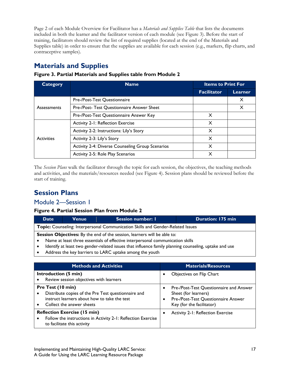Page 2 of each Module Overview for Facilitator has a *Materials and Supplies Table* that lists the documents included in both the learner and the facilitator version of each module (see Figure 3). Before the start of training, facilitators should review the list of required supplies (located at the end of the Materials and Supplies table) in order to ensure that the supplies are available for each session (e.g., markers, flip charts, and contraceptive samples).

## <span id="page-22-0"></span>**Materials and Supplies**

| Category          | <b>Name</b>                                      | <b>Items to Print For</b> |         |  |  |  |  |
|-------------------|--------------------------------------------------|---------------------------|---------|--|--|--|--|
|                   |                                                  | <b>Facilitator</b>        | Learner |  |  |  |  |
|                   | Pre-/Post-Test Questionnaire                     |                           | X       |  |  |  |  |
| Assessments       | Pre-/Post- Test Questionnaire Answer Sheet       |                           | X       |  |  |  |  |
|                   | Pre-/Post-Test Questionnaire Answer Key          | X                         |         |  |  |  |  |
|                   | <b>Activity 2-1: Reflection Exercise</b>         | X                         |         |  |  |  |  |
|                   | Activity 2-2: Instructions: Lily's Story         | X                         |         |  |  |  |  |
| <b>Activities</b> | Activity 2-3: Lily's Story                       | X                         |         |  |  |  |  |
|                   | Activity 2-4: Diverse Counseling Group Scenarios | X                         |         |  |  |  |  |
|                   | Activity 2-5: Role Play Scenarios                | X                         |         |  |  |  |  |

#### **Figure 3. Partial Materials and Supplies table from Module 2**

The *Session Plans* walk the facilitator through the topic for each session, the objectives, the teaching methods and activities, and the materials/resources needed (see Figure 4). Session plans should be reviewed before the start of training.

## <span id="page-22-1"></span>**Session Plans**

### Module 2—Session 1

#### **Figure 4. Partial Session Plan from Module 2**

| <b>Date</b> | <b>Venue</b>                                                                                          | <b>Session number: I</b><br><b>Duration: 175 min</b> |  |  |  |  |  |  |  |
|-------------|-------------------------------------------------------------------------------------------------------|------------------------------------------------------|--|--|--|--|--|--|--|
|             | <b>Topic:</b> Counseling: Interpersonal Communication Skills and Gender-Related Issues                |                                                      |  |  |  |  |  |  |  |
|             | <b>Session Objectives:</b> By the end of the session, learners will be able to:                       |                                                      |  |  |  |  |  |  |  |
|             | Name at least three essentials of effective interpersonal communication skills                        |                                                      |  |  |  |  |  |  |  |
|             | Identify at least two gender-related issues that influence family planning counseling, uptake and use |                                                      |  |  |  |  |  |  |  |
|             |                                                                                                       |                                                      |  |  |  |  |  |  |  |

• Address the key barriers to LARC uptake among the youth

<span id="page-22-2"></span>

| <b>Methods and Activities</b>                                                                                                                                                   | <b>Materials/Resources</b>                                                                                                          |
|---------------------------------------------------------------------------------------------------------------------------------------------------------------------------------|-------------------------------------------------------------------------------------------------------------------------------------|
| Introduction (5 min)<br>Review session objectives with learners                                                                                                                 | Objectives on Flip Chart                                                                                                            |
| Pre Test (10 min)<br>Distribute copies of the Pre Test questionnaire and<br>$\bullet$<br>instruct learners about how to take the test<br>Collect the answer sheets<br>$\bullet$ | Pre-/Post-Test Questionnaire and Answer<br>Sheet (for learners)<br>Pre-/Post-Test Questionnaire Answer<br>Key (for the facilitator) |
| <b>Reflection Exercise (15 min)</b><br>Follow the instructions in Activity 2-1: Reflection Exercise<br>to facilitate this activity                                              | Activity 2-1: Reflection Exercise                                                                                                   |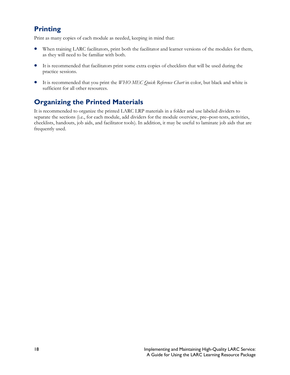## **Printing**

Print as many copies of each module as needed, keeping in mind that:

- When training LARC facilitators, print both the facilitator and learner versions of the modules for them, as they will need to be familiar with both.
- It is recommended that facilitators print some extra copies of checklists that will be used during the practice sessions.
- It is recommended that you print the *WHO MEC Quick Reference Chart* in color, but black and white is sufficient for all other resources.

## **Organizing the Printed Materials**

It is recommended to organize the printed LARC LRP materials in a folder and use labeled dividers to separate the sections (i.e., for each module, add dividers for the module overview, pre–post-tests, activities, checklists, handouts, job aids, and facilitator tools). In addition, it may be useful to laminate job aids that are frequently used.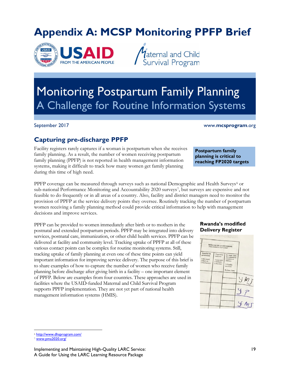# <span id="page-24-0"></span>**Appendix A: MCSP Monitoring PPFP Brief**



*V*aternal and Child<br>Survival Program

# Monitoring Postpartum Family Planning A Challenge for Routine Information Systems

#### September 2017 www.**mcsprogram**.org

**Postpartum family planning is critical to reaching FP2020 targets**

## **Capturing pre-discharge PPFP**

Facility registers rarely captures if a woman is postpartum when she receives family planning. As a result, the number of women receiving postpartum family planning (PPFP) is not reported in health management information systems, making it difficult to track how many women get family planning during this time of high need.

PPFP coverage can be measured through surveys such as national Demographic and Health Surveys<sup>[6](#page-24-1)</sup> or sub-national Performance Monitoring and Accountability 2020 surveys[7,](#page-24-2) but surveys are expensive and not feasible to do frequently or in all areas of a country. Also, facility and district managers need to monitor the provision of PPFP at the service delivery points they oversee. Routinely tracking the number of postpartum women receiving a family planning method could provide critical information to help with management decisions and improve services.

PPFP can be provided to women immediately after birth or to mothers in the postnatal and extended postpartum periods. PPFP may be integrated into delivery services, postnatal care, immunization, or other child health services. PPFP can be delivered at facility and community level. Tracking uptake of PPFP at all of these various contact points can be complex for routine monitoring systems. Still, tracking uptake of family planning at even one of these time points can yield important information for improving service delivery. The purpose of this brief is to share examples of how to capture the number of women who receive family planning before discharge after giving birth in a facility – one important element of PPFP. Below are examples from four countries. These approaches are used in facilities where the USAID-funded Maternal and Child Survival Program supports PPFP implementation. They are not yet part of national health management information systems (HMIS).

#### **Rwanda's modified Delivery Register**



 $\overline{\phantom{a}}$ <sup>6</sup> <http://www.dhsprogram.com/>

<span id="page-24-2"></span><span id="page-24-1"></span>www.pma2020.org/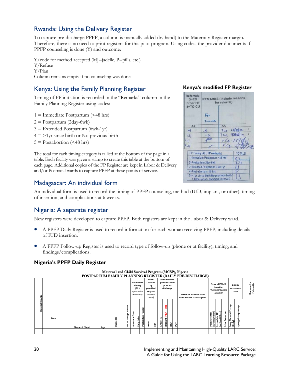## Rwanda: Using the Delivery Register

To capture pre-discharge PPFP, a column is manually added (by hand) to the Maternity Register margin. Therefore, there is no need to print registers for this pilot program. Using codes, the provider documents if PPFP counseling is done (Y) and outcome:

Y/code for method accepted (MJ=jadelle, P=pills, etc.) Y/Refuse Y/Plan Column remains empty if no counseling was done

## Kenya: Using the Family Planning Register

Timing of FP initiation is recorded in the "Remarks" column in the Family Planning Register using codes:

 $1 =$  Immediate Postpartum (<48 hrs)  $2 =$  Postpartum (2day-6wk)  $3$  = Extended Postpartum (6wk-1yr)  $4 = 21$ yr since birth or No previous birth  $5 =$  Postabortion (<48 hrs)

The total for each timing category is tallied at the bottom of the page in a table. Each facility was given a stamp to create this table at the bottom of each page. Additional copies of the FP Register are kept in Labor & Delivery and/or Postnatal wards to capture PPFP at these points of service.

# **Kenya's modified FP Register**



### Madagascar: An individual form

An individual form is used to record the timing of PPFP counseling, method (IUD, implant, or other), timing of insertion, and complications at 6 weeks.

### Nigeria: A separate register

New registers were developed to capture PPFP. Both registers are kept in the Labor & Delivery ward.

- A PPFP Daily Register is used to record information for each woman receiving PPFP, including details of IUD insertion.
- A PPFP Follow-up Register is used to record type of follow-up (phone or at facility), timing, and findings/complications.

#### **Nigeria's PPFP Daily Register**

|               |      |                       |     |                          |                                |                          |                                                         |                      |                                                                           |   |               |                                                                |                 | POSTPARTUM FAMILY PLANNING REGISTER (DAILY PRE-DISCHARGE) |                                      |                                                                   |            |                                     |                                    |                                            |
|---------------|------|-----------------------|-----|--------------------------|--------------------------------|--------------------------|---------------------------------------------------------|----------------------|---------------------------------------------------------------------------|---|---------------|----------------------------------------------------------------|-----------------|-----------------------------------------------------------|--------------------------------------|-------------------------------------------------------------------|------------|-------------------------------------|------------------------------------|--------------------------------------------|
| å             |      |                       |     |                          |                                |                          | Counseled<br>during<br>(Tick<br>appropriat<br>e column) |                      | <b>PPFP</b><br>counseli<br>ng<br>provided<br>on (Tick<br>columns<br>done) |   |               | <b>PPFP</b> method<br>given to client<br>prior to<br>discharge |                 | Name of Provider who<br>inserted PPIUD or implant         |                                      | <b>Type of PPIUD</b><br>insertion<br>(Tick appropriate<br>column) |            |                                     | <b>PPIUD</b><br>instrument<br>Used | 혼<br>ş<br>date <sup>-</sup><br>Follow<br>å |
| Hospital Reg. | Date | <b>Name of Client</b> | Age | $\overline{\phantom{a}}$ | ಕ<br>Ē<br>뽇<br>Ξ<br>፞፝፝፝፝<br>욷 | ۹<br>с<br>atal<br>Antena | ٥<br>음<br>arly I<br>ŵ                                   | Period<br>Postpartum | Ê                                                                         | 旨 | ÷٤<br>Μ<br>ــ | ⋚<br>è<br><b>Implant</b>                                       | <b>POP</b><br>₿ |                                                           | cental<br>$\circ$<br>'음<br>Post<br>Ξ | 윤<br>ate<br>深<br>삠<br>(within<br>Ē                                | 듦<br>Intra | ä<br>ᄕ<br>ē<br>읇<br>(Kelly)<br>Long | orceps<br>正<br>Ring<br>Sponge/     |                                            |
|               |      |                       |     |                          |                                |                          |                                                         |                      |                                                                           |   |               |                                                                |                 |                                                           |                                      |                                                                   |            |                                     |                                    |                                            |

# Maternal and Child Survival Program (MCSP), Nigeria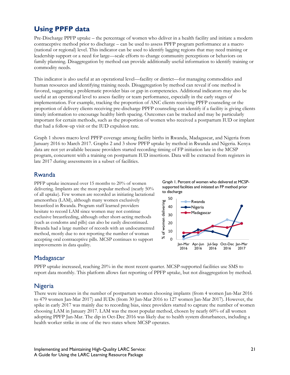## **Using PPFP data**

Pre-Discharge PPFP uptake – the percentage of women who deliver in a health facility and initiate a modern contraceptive method prior to discharge – can be used to assess PPFP program performance at a macro (national or regional) level. This indicator can be used to identify lagging regions that may need training or leadership support or a need for large—scale efforts to change community perceptions or behaviors on family planning. Disaggregation by method can provide additionally useful information to identify training or commodity needs.

This indicator is also useful at an operational level—facility or district—for managing commodities and human resources and identifying training needs. Disaggregation by method can reveal if one method is favored, suggesting a problematic provider bias or gap in competencies. Additional indicators may also be useful at an operational level to assess facility or team performance, especially in the early stages of implementation. For example, tracking the proportion of ANC clients receiving PPFP counseling or the proportion of delivery clients receiving pre-discharge PPFP counseling can identify if a facility is giving clients timely information to encourage healthy birth spacing. Outcomes can be tracked and may be particularly important for certain methods, such as the proportion of women who received a postpartum IUD or implant that had a follow-up visit or the IUD expulsion rate.

Graph 1 shows macro level PPFP coverage among facility births in Rwanda, Madagascar, and Nigeria from January 2016 to March 2017. Graphs 2 and 3 show PPFP uptake by method in Rwanda and Nigeria. Kenya data are not yet available because providers started recording timing of FP initiation late in the MCSP program, concurrent with a training on postpartum IUD insertions. Data will be extracted from registers in late 2017 during assessments in a subset of facilities.

### Rwanda

PPFP uptake increased over 15 months to 20% of women delivering. Implants are the most popular method (nearly 50% of all uptake). Few women are recorded as initiating lactational amenorrhea (LAM), although many women exclusively breastfeed in Rwanda. Program staff learned providers hesitate to record LAM since women may not continue exclusive breastfeeding, although other short-acting methods (such as condoms and pills) can also be easily discontinued. Rwanda had a large number of records with an undocumented method, mostly due to not reporting the number of woman accepting oral contraceptive pills. MCSP continues to support improvements in data quality.





### Madagascar

PPFP uptake increased, reaching 20% in the most recent quarter. MCSP-supported facilities use SMS to report data monthly. This platform allows fast reporting of PPFP uptake, but not disaggregation by method.

### Nigeria

There were increases in the number of postpartum women choosing implants (from 4 women Jan-Mar 2016 to 479 women Jan-Mar 2017) and IUDs (from 30 Jan-Mar 2016 to 127 women Jan-Mar 2017). However, the spike in early 2017 was mainly due to recording bias, since providers started to capture the number of women choosing LAM in January 2017. LAM was the most popular method, chosen by nearly 60% of all women adopting PPFP Jan-Mar. The dip in Oct-Dec 2016 was likely due to health system disturbances, including a health worker strike in one of the two states where MCSP operates.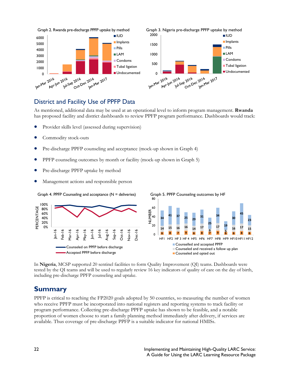

## District and Facility Use of PPFP Data

As mentioned, additional data may be used at an operational level to inform program management. **Rwanda** has proposed facility and district dashboards to review PPFP program performance. Dashboards would track:

- Provider skills level (assessed during supervision)
- Commodity stock-outs
- Pre-discharge PPFP counseling and acceptance (mock-up shown in Graph 4)
- PPFP counseling outcomes by month or facility (mock-up shown in Graph 5)
- Pre-discharge PPFP uptake by method
- Management actions and responsible person



In **Nigeria**, MCSP supported 20 sentinel facilities to form Quality Improvement (QI) teams. Dashboards were tested by the QI teams and will be used to regularly review 16 key indicators of quality of care on the day of birth, including pre-discharge PPFP counseling and uptake.

## **Summary**

PPFP is critical to reaching the FP2020 goals adopted by 50 countries, so measuring the number of women who receive PPFP must be incorporated into national registers and reporting systems to track facility or program performance. Collecting pre-discharge PPFP uptake has shown to be feasible, and a notable proportion of women choose to start a family planning method immediately after delivery, if services are available. Thus coverage of pre-discharge PPFP is a suitable indicator for national HMISs.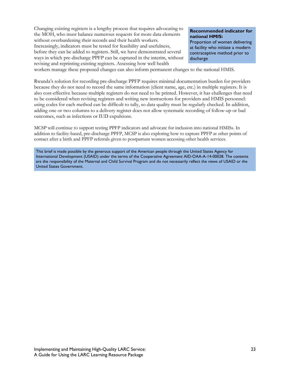Changing existing registers is a lengthy process that requires advocating to the MOH, who must balance numerous requests for more data elements without overburdening their records and their health workers. Increasingly, indicators must be tested for feasibility and usefulness, before they can be added to registers. Still, we have demonstrated several ways in which pre-discharge PPFP can be captured in the interim, without revising and reprinting existing registers. Assessing how well health

#### **Recommended indicator for national HMIS:**

Proportion of women delivering at facility who initiate a modern contraceptive method prior to discharge

workers manage these proposed changes can also inform permanent changes to the national HMIS.

Rwanda's solution for recording pre-discharge PPFP requires minimal documentation burden for providers because they do not need to record the same information (client name, age, etc.) in multiple registers. It is also cost-effective because multiple registers do not need to be printed. However, it has challenges that need to be considered when revising registers and writing new instructions for providers and HMIS personnel: using codes for each method can be difficult to tally, so data quality must be regularly checked. In addition, adding one or two columns to a delivery register does not allow systematic recording of follow-up or bad outcomes, such as infections or IUD expulsions.

MCSP will continue to support testing PPFP indicators and advocate for inclusion into national HMISs. In addition to facility-based, pre-discharge PPFP, MCSP is also exploring how to capture PPFP at other points of contact after a birth and PPFP referrals given to postpartum women accessing other health services.

This brief is made possible by the generous support of the American people through the United States Agency for International Development (USAID) under the terms of the Cooperative Agreement AID-OAA-A-14-00028. The contents are the responsibility of the Maternal and Child Survival Program and do not necessarily reflect the views of USAID or the United States Government.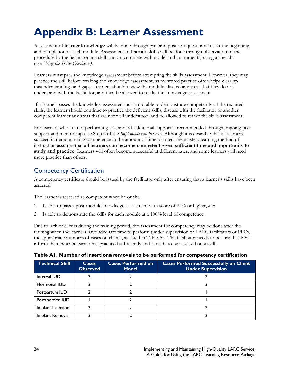# <span id="page-29-0"></span>**Appendix B: Learner Assessment**

Assessment of **learner knowledge** will be done through pre- and post-test questionnaires at the beginning and completion of each module. Assessment of **learner skills** will be done through observation of the procedure by the facilitator at a skill station (complete with model and instruments) using a checklist (see *Using the Skills Checklists).*

Learners must pass the knowledge assessment before attempting the skills assessment. However, they may practice the skill before retaking the knowledge assessment, as mentored practice often helps clear up misunderstandings and gaps. Learners should review the module, discuss any areas that they do not understand with the facilitator, and then be allowed to retake the knowledge assessment.

If a learner passes the knowledge assessment but is not able to demonstrate competently all the required skills, the learner should continue to practice the deficient skills, discuss with the facilitator or another competent learner any areas that are not well understood, and be allowed to retake the skills assessment.

For learners who are not performing to standard, additional support is recommended through ongoing peer support and mentorship (see Step 6 of the *Implementation Process*). Although it is desirable that all learners succeed in demonstrating competence in the amount of time planned, the mastery learning method of instruction assumes that **all learners can become competent given sufficient time and opportunity to study and practice.** Learners will often become successful at different rates, and some learners will need more practice than others.

## Competency Certification

A competency certificate should be issued by the facilitator only after ensuring that a learner's skills have been assessed.

The learner is assessed as competent when he or she:

- 1. Is able to pass a post-module knowledge assessment with score of 85% or higher, *and*
- 2. Is able to demonstrate the skills for each module at a 100% level of competence.

Due to lack of clients during the training period, the assessment for competency may be done after the training when the learners have adequate time to perform (under supervision of LARC facilitators or PPCs) the appropriate numbers of cases on clients, as listed in Table A1. The facilitator needs to be sure that PPCs inform them when a learner has practiced sufficiently and is ready to be assessed on a skill.

| <b>Technical Skill</b> | <b>Cases</b><br><b>Observed</b> | <b>Cases Performed on</b><br><b>Model</b> | <b>Cases Performed Successfully on Client</b><br><b>Under Supervision</b> |
|------------------------|---------------------------------|-------------------------------------------|---------------------------------------------------------------------------|
| Interval IUD           |                                 |                                           |                                                                           |
| Hormonal IUD           |                                 |                                           |                                                                           |
| Postpartum IUD         |                                 |                                           |                                                                           |
| Postabortion IUD       |                                 |                                           |                                                                           |
| Implant Insertion      |                                 |                                           |                                                                           |
| Implant Removal        |                                 |                                           |                                                                           |

#### **Table A1. Number of insertions/removals to be performed for competency certification**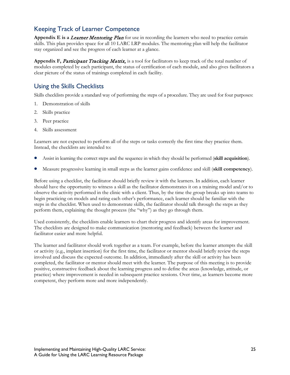## Keeping Track of Learner Competence

Appendix E is a *Learner Mentoring Plan* for use in recording the learners who need to practice certain skills. This plan provides space for all 10 LARC LRP modules. The mentoring plan will help the facilitator stay organized and see the progress of each learner at a glance.

**Appendix F,** Participant Tracking Matrix, is a tool for facilitators to keep track of the total number of modules completed by each participant, the status of certification of each module, and also gives facilitators a clear picture of the status of trainings completed in each facility.

## Using the Skills Checklists

Skills checklists provide a standard way of performing the steps of a procedure. They are used for four purposes:

- 1. Demonstration of skills
- 2. Skills practice
- 3. Peer practice
- 4. Skills assessment

Learners are not expected to perform all of the steps or tasks correctly the first time they practice them. Instead, the checklists are intended to:

- Assist in learning the correct steps and the sequence in which they should be performed (**skill acquisition**).
- Measure progressive learning in small steps as the learner gains confidence and skill (**skill competency**).

Before using a checklist, the facilitator should briefly review it with the learners. In addition, each learner should have the opportunity to witness a skill as the facilitator demonstrates it on a training model and/or to observe the activity performed in the clinic with a client. Thus, by the time the group breaks up into teams to begin practicing on models and rating each other's performance, each learner should be familiar with the steps in the checklist. When used to demonstrate skills, the facilitator should talk through the steps as they perform them, explaining the thought process (the "why") as they go through them.

Used consistently, the checklists enable learners to chart their progress and identify areas for improvement. The checklists are designed to make communication (mentoring and feedback) between the learner and facilitator easier and more helpful.

The learner and facilitator should work together as a team. For example, before the learner attempts the skill or activity (e.g., implant insertion) for the first time, the facilitator or mentor should briefly review the steps involved and discuss the expected outcome. In addition, immediately after the skill or activity has been completed, the facilitator or mentor should meet with the learner. The purpose of this meeting is to provide positive, constructive feedback about the learning progress and to define the areas (knowledge, attitude, or practice) where improvement is needed in subsequent practice sessions. Over time, as learners become more competent, they perform more and more independently.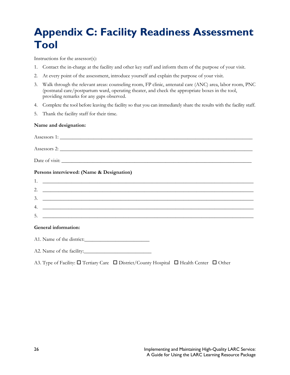# <span id="page-31-0"></span>**Appendix C: Facility Readiness Assessment Tool**

Instructions for the assessor(s):

- 1. Contact the in-charge at the facility and other key staff and inform them of the purpose of your visit.
- 2. At every point of the assessment, introduce yourself and explain the purpose of your visit.
- 3. Walk through the relevant areas: counseling room, FP clinic, antenatal care (ANC) area, labor room, PNC (postnatal care/postpartum ward, operating theater, and check the appropriate boxes in the tool, providing remarks for any gaps observed.
- 4. Complete the tool before leaving the facility so that you can immediately share the results with the facility staff.
- 5. Thank the facility staff for their time.

#### **Name and designation:**

| Persons interviewed: (Name & Designation) |
|-------------------------------------------|
|                                           |
|                                           |
| $3.$ $\overline{\phantom{a}}$             |
| 4. $\overline{\phantom{a}}$               |
| $5.$ $\overline{\phantom{a}}$             |
| General information:                      |
| A1. Name of the district:                 |
| A2. Name of the facility:                 |

A3. Type of Facility:  $\square$  Tertiary Care  $\square$  District/County Hospital  $\square$  Health Center  $\square$  Other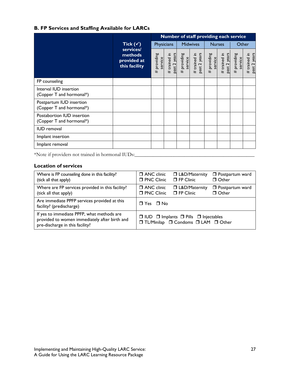### **B. FP Services and Staffing Available for LARCs**

|                                                        |                                                      | Number of staff providing each service |                              |                        |                              |                           |                              |                        |                              |
|--------------------------------------------------------|------------------------------------------------------|----------------------------------------|------------------------------|------------------------|------------------------------|---------------------------|------------------------------|------------------------|------------------------------|
|                                                        | Tick $(\checkmark)$                                  | Physicians                             |                              | <b>Midwives</b>        |                              | <b>Nurses</b>             |                              | Other                  |                              |
|                                                        | services/<br>methods<br>provided at<br>this facility | # providing<br>service                 | past 2 years<br># trained in | # providing<br>service | past 2 years<br># trained in | providing<br>service<br># | past 2 years<br># trained in | # providing<br>service | past 2 years<br># trained in |
| FP counseling                                          |                                                      |                                        |                              |                        |                              |                           |                              |                        |                              |
| Interval IUD insertion<br>(Copper T and hormonal*)     |                                                      |                                        |                              |                        |                              |                           |                              |                        |                              |
| Postpartum IUD insertion<br>(Copper T and hormonal*)   |                                                      |                                        |                              |                        |                              |                           |                              |                        |                              |
| Postabortion IUD insertion<br>(Copper T and hormonal*) |                                                      |                                        |                              |                        |                              |                           |                              |                        |                              |
| <b>IUD</b> removal                                     |                                                      |                                        |                              |                        |                              |                           |                              |                        |                              |
| Implant insertion                                      |                                                      |                                        |                              |                        |                              |                           |                              |                        |                              |
| Implant removal                                        |                                                      |                                        |                              |                        |                              |                           |                              |                        |                              |

\*Note if providers not trained in hormonal IUDs:\_\_\_\_\_\_\_\_\_\_\_\_\_\_\_\_\_\_\_\_\_\_\_\_\_\_\_\_\_\_\_\_\_\_\_\_\_\_\_\_\_\_\_\_\_\_

#### **Location of services**

| Where is FP counseling done in this facility?                                                                                  | $\Box$ ANC clinic                                                                                  | □ L&D/Maternity        | <b>D</b> Postpartum ward |  |
|--------------------------------------------------------------------------------------------------------------------------------|----------------------------------------------------------------------------------------------------|------------------------|--------------------------|--|
| (tick all that apply)                                                                                                          | <b>D</b> PNC Clinic                                                                                | $\Box$ FP Clinic       | □ Other                  |  |
| Where are FP services provided in this facility?                                                                               | □ ANC clinic                                                                                       | <b>J</b> L&D/Maternity | <b>D</b> Postpartum ward |  |
| (tick all that apply)                                                                                                          | <b>D</b> PNC Clinic                                                                                | $\Box$ FP Clinic       | □ Other                  |  |
| Are immediate PPFP services provided at this<br>facility? (predischarge)                                                       | $\Box$ Yes $\Box$ No                                                                               |                        |                          |  |
| If yes to immediate PPFP, what methods are<br>provided to women immediately after birth and<br>pre-discharge in this facility? | $\Box$ IUD $\Box$ Implants $\Box$ Pills $\Box$ Injectables<br>□ TL/Minilap □ Condoms □ LAM □ Other |                        |                          |  |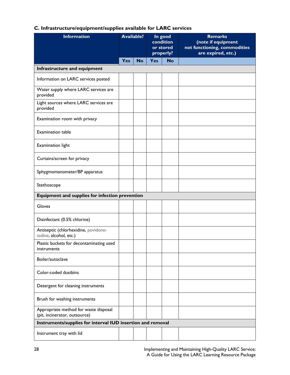| C. Infrastructure/equipment/supplies available for LARC services |  |
|------------------------------------------------------------------|--|
|------------------------------------------------------------------|--|

| <b>Information</b>                                                     | <b>Available?</b> |           | In good<br>condition<br>or stored<br>properly? |           | <b>Remarks</b><br>(note if equipment<br>not functioning, commodities<br>are expired, etc.) |
|------------------------------------------------------------------------|-------------------|-----------|------------------------------------------------|-----------|--------------------------------------------------------------------------------------------|
|                                                                        | Yes               | <b>No</b> | <b>Yes</b>                                     | <b>No</b> |                                                                                            |
| Infrastructure and equipment                                           |                   |           |                                                |           |                                                                                            |
| Information on LARC services posted                                    |                   |           |                                                |           |                                                                                            |
| Water supply where LARC services are<br>provided                       |                   |           |                                                |           |                                                                                            |
| Light sources where LARC services are<br>provided                      |                   |           |                                                |           |                                                                                            |
| Examination room with privacy                                          |                   |           |                                                |           |                                                                                            |
| <b>Examination table</b>                                               |                   |           |                                                |           |                                                                                            |
| Examination light                                                      |                   |           |                                                |           |                                                                                            |
| Curtains/screen for privacy                                            |                   |           |                                                |           |                                                                                            |
| Sphygmomanometer/BP apparatus                                          |                   |           |                                                |           |                                                                                            |
| Stethoscope                                                            |                   |           |                                                |           |                                                                                            |
| Equipment and supplies for infection prevention                        |                   |           |                                                |           |                                                                                            |
| Gloves                                                                 |                   |           |                                                |           |                                                                                            |
| Disinfectant (0.5% chlorine)                                           |                   |           |                                                |           |                                                                                            |
| Antiseptic (chlorhexidine, povidone-<br>iodine, alcohol, etc.)         |                   |           |                                                |           |                                                                                            |
| Plastic buckets for decontaminating used<br>instruments                |                   |           |                                                |           |                                                                                            |
| Boiler/autoclave                                                       |                   |           |                                                |           |                                                                                            |
| Color-coded dustbins                                                   |                   |           |                                                |           |                                                                                            |
| Detergent for cleaning instruments                                     |                   |           |                                                |           |                                                                                            |
| Brush for washing instruments                                          |                   |           |                                                |           |                                                                                            |
| Appropriate method for waste disposal<br>(pit, incinerator, outsource) |                   |           |                                                |           |                                                                                            |
| Instruments/supplies for interval IUD insertion and removal            |                   |           |                                                |           |                                                                                            |
| Instrument tray with lid                                               |                   |           |                                                |           |                                                                                            |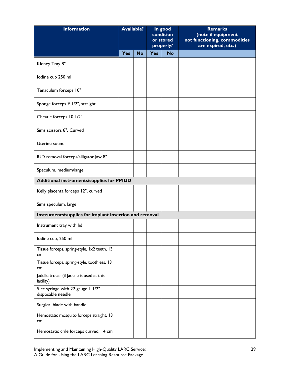| <b>Information</b>                                      | <b>Available?</b> |           | In good<br>condition<br>or stored<br>properly? |           |  |  | <b>Remarks</b><br>(note if equipment<br>not functioning, commodities<br>are expired, etc.) |
|---------------------------------------------------------|-------------------|-----------|------------------------------------------------|-----------|--|--|--------------------------------------------------------------------------------------------|
|                                                         | Yes               | <b>No</b> | <b>Yes</b>                                     | <b>No</b> |  |  |                                                                                            |
| Kidney Tray 8"                                          |                   |           |                                                |           |  |  |                                                                                            |
| lodine cup 250 ml                                       |                   |           |                                                |           |  |  |                                                                                            |
| Tenaculum forceps 10"                                   |                   |           |                                                |           |  |  |                                                                                            |
| Sponge forceps 9 1/2", straight                         |                   |           |                                                |           |  |  |                                                                                            |
| Cheatle forceps 10 1/2"                                 |                   |           |                                                |           |  |  |                                                                                            |
| Sims scissors 8", Curved                                |                   |           |                                                |           |  |  |                                                                                            |
| Uterine sound                                           |                   |           |                                                |           |  |  |                                                                                            |
| IUD removal forceps/alligator jaw 8"                    |                   |           |                                                |           |  |  |                                                                                            |
| Speculum, medium/large                                  |                   |           |                                                |           |  |  |                                                                                            |
| Additional instruments/supplies for PPIUD               |                   |           |                                                |           |  |  |                                                                                            |
| Kelly placenta forceps 12", curved                      |                   |           |                                                |           |  |  |                                                                                            |
| Sims speculum, large                                    |                   |           |                                                |           |  |  |                                                                                            |
| Instruments/supplies for implant insertion and removal  |                   |           |                                                |           |  |  |                                                                                            |
| Instrument tray with lid                                |                   |           |                                                |           |  |  |                                                                                            |
| lodine cup, 250 ml                                      |                   |           |                                                |           |  |  |                                                                                            |
| Tissue forceps, spring-style, 1x2 teeth, 13<br>cm       |                   |           |                                                |           |  |  |                                                                                            |
| Tissue forceps, spring-style, toothless, 13<br>cm       |                   |           |                                                |           |  |  |                                                                                            |
| Jadelle trocar (if Jadelle is used at this<br>facility) |                   |           |                                                |           |  |  |                                                                                            |
| 5 cc syringe with 22 gauge 1 1/2"<br>disposable needle  |                   |           |                                                |           |  |  |                                                                                            |
| Surgical blade with handle                              |                   |           |                                                |           |  |  |                                                                                            |
| Hemostatic mosquito forceps straight, 13<br>cm          |                   |           |                                                |           |  |  |                                                                                            |
| Hemostatic crile forceps curved, 14 cm                  |                   |           |                                                |           |  |  |                                                                                            |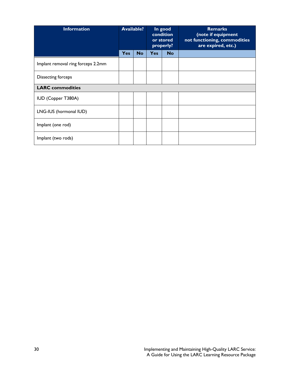| <b>Information</b>                 | <b>Available?</b> |           | In good<br>condition<br>or stored<br>properly? |           | <b>Remarks</b><br>(note if equipment<br>not functioning, commodities<br>are expired, etc.) |
|------------------------------------|-------------------|-----------|------------------------------------------------|-----------|--------------------------------------------------------------------------------------------|
|                                    | <b>Yes</b>        | <b>No</b> | <b>Yes</b>                                     | <b>No</b> |                                                                                            |
| Implant removal ring forceps 2.2mm |                   |           |                                                |           |                                                                                            |
| Dissecting forceps                 |                   |           |                                                |           |                                                                                            |
| <b>LARC</b> commodities            |                   |           |                                                |           |                                                                                            |
| IUD (Copper T380A)                 |                   |           |                                                |           |                                                                                            |
| LNG-IUS (hormonal IUD)             |                   |           |                                                |           |                                                                                            |
| Implant (one rod)                  |                   |           |                                                |           |                                                                                            |
| Implant (two rods)                 |                   |           |                                                |           |                                                                                            |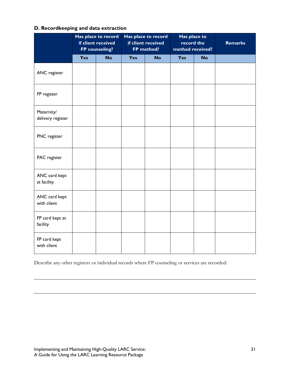#### **D. Recordkeeping and data extraction**

|                                 | Has place to record<br>if client received<br>FP counseling? |           | Has place to record<br>if client received<br>FP method? |           | Has place to<br>record the<br>method received? |           | <b>Remarks</b> |
|---------------------------------|-------------------------------------------------------------|-----------|---------------------------------------------------------|-----------|------------------------------------------------|-----------|----------------|
|                                 | Yes                                                         | <b>No</b> | Yes                                                     | <b>No</b> | Yes                                            | <b>No</b> |                |
| ANC register                    |                                                             |           |                                                         |           |                                                |           |                |
| FP register                     |                                                             |           |                                                         |           |                                                |           |                |
| Maternity/<br>delivery register |                                                             |           |                                                         |           |                                                |           |                |
| PNC register                    |                                                             |           |                                                         |           |                                                |           |                |
| PAC register                    |                                                             |           |                                                         |           |                                                |           |                |
| ANC card kept<br>at facility    |                                                             |           |                                                         |           |                                                |           |                |
| ANC card kept<br>with client    |                                                             |           |                                                         |           |                                                |           |                |
| FP card kept at<br>facility     |                                                             |           |                                                         |           |                                                |           |                |
| FP card kept<br>with client     |                                                             |           |                                                         |           |                                                |           |                |

Describe any other registers or individual records where FP counseling or services are recorded: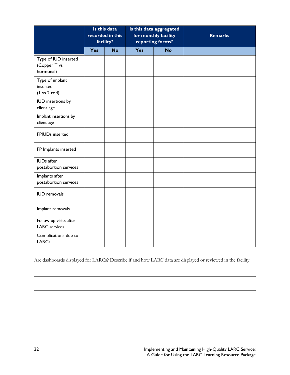|                                                                | Is this data<br>recorded in this<br>facility? |           | Is this data aggregated<br>for monthly facility<br>reporting forms? |           |  |  | <b>Remarks</b> |
|----------------------------------------------------------------|-----------------------------------------------|-----------|---------------------------------------------------------------------|-----------|--|--|----------------|
|                                                                | Yes                                           | <b>No</b> | Yes                                                                 | <b>No</b> |  |  |                |
| Type of IUD inserted<br>(Copper T vs<br>hormonal)              |                                               |           |                                                                     |           |  |  |                |
| Type of implant<br>inserted<br>$(1 \text{ vs } 2 \text{ rod})$ |                                               |           |                                                                     |           |  |  |                |
| IUD insertions by<br>client age                                |                                               |           |                                                                     |           |  |  |                |
| Implant insertions by<br>client age                            |                                               |           |                                                                     |           |  |  |                |
| PPIUDs inserted                                                |                                               |           |                                                                     |           |  |  |                |
| PP Implants inserted                                           |                                               |           |                                                                     |           |  |  |                |
| <b>IUDs</b> after<br>postabortion services                     |                                               |           |                                                                     |           |  |  |                |
| Implants after<br>postabortion services                        |                                               |           |                                                                     |           |  |  |                |
| <b>IUD</b> removals                                            |                                               |           |                                                                     |           |  |  |                |
| Implant removals                                               |                                               |           |                                                                     |           |  |  |                |
| Follow-up visits after<br><b>LARC</b> services                 |                                               |           |                                                                     |           |  |  |                |
| Complications due to<br><b>LARCs</b>                           |                                               |           |                                                                     |           |  |  |                |

Are dashboards displayed for LARCs? Describe if and how LARC data are displayed or reviewed in the facility: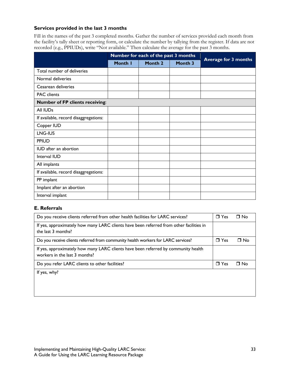#### **Services provided in the last 3 months**

Fill in the names of the past 3 completed months. Gather the number of services provided each month from the facility's tally sheet or reporting form, or calculate the number by tallying from the register. If data are not recorded (e.g., PPIUDs), write "Not available." Then calculate the average for the past 3 months.

|                                        |         | Number for each of the past 3 months |         |                             |
|----------------------------------------|---------|--------------------------------------|---------|-----------------------------|
|                                        | Month I | Month 2                              | Month 3 | <b>Average for 3 months</b> |
| Total number of deliveries             |         |                                      |         |                             |
| Normal deliveries                      |         |                                      |         |                             |
| Cesarean deliveries                    |         |                                      |         |                             |
| <b>PAC</b> clients                     |         |                                      |         |                             |
| <b>Number of FP clients receiving:</b> |         |                                      |         |                             |
| All IUDs                               |         |                                      |         |                             |
| If available, record disaggregations:  |         |                                      |         |                             |
| Copper IUD                             |         |                                      |         |                             |
| LNG-IUS                                |         |                                      |         |                             |
| <b>PPIUD</b>                           |         |                                      |         |                             |
| <b>IUD</b> after an abortion           |         |                                      |         |                             |
| Interval IUD                           |         |                                      |         |                             |
| All implants                           |         |                                      |         |                             |
| If available, record disaggregations:  |         |                                      |         |                             |
| PP implant                             |         |                                      |         |                             |
| Implant after an abortion              |         |                                      |         |                             |
| Interval implant                       |         |                                      |         |                             |

#### **E. Referrals**

| Do you receive clients referred from other health facilities for LARC services?                                     | $\Box$ Yes | $\Box$ No |
|---------------------------------------------------------------------------------------------------------------------|------------|-----------|
| If yes, approximately how many LARC clients have been referred from other facilities in<br>the last 3 months?       |            |           |
| Do you receive clients referred from community health workers for LARC services?                                    | $\Box$ Yes | □ No      |
| If yes, approximately how many LARC clients have been referred by community health<br>workers in the last 3 months? |            |           |
| Do you refer LARC clients to other facilities?                                                                      | $\Box$ Yes | $\Box$ No |
| If yes, why?                                                                                                        |            |           |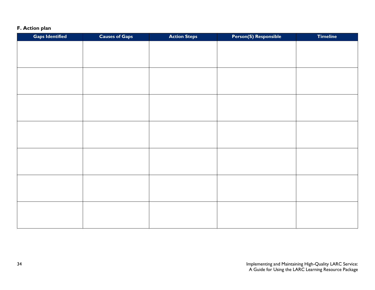### **F. Action plan**

| <b>Gaps Identified</b> | <b>Causes of Gaps</b> | <b>Action Steps</b> | <b>Person(S) Responsible</b> | <b>Timeline</b> |
|------------------------|-----------------------|---------------------|------------------------------|-----------------|
|                        |                       |                     |                              |                 |
|                        |                       |                     |                              |                 |
|                        |                       |                     |                              |                 |
|                        |                       |                     |                              |                 |
|                        |                       |                     |                              |                 |
|                        |                       |                     |                              |                 |
|                        |                       |                     |                              |                 |
|                        |                       |                     |                              |                 |
|                        |                       |                     |                              |                 |
|                        |                       |                     |                              |                 |
|                        |                       |                     |                              |                 |
|                        |                       |                     |                              |                 |
|                        |                       |                     |                              |                 |
|                        |                       |                     |                              |                 |
|                        |                       |                     |                              |                 |
|                        |                       |                     |                              |                 |
|                        |                       |                     |                              |                 |
|                        |                       |                     |                              |                 |
|                        |                       |                     |                              |                 |
|                        |                       |                     |                              |                 |
|                        |                       |                     |                              |                 |
|                        |                       |                     |                              |                 |
|                        |                       |                     |                              |                 |
|                        |                       |                     |                              |                 |
|                        |                       |                     |                              |                 |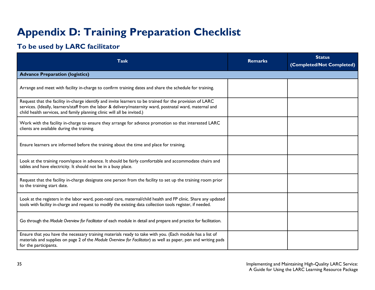# **Appendix D: Training Preparation Checklist**

## **To be used by LARC facilitator**

<span id="page-40-0"></span>

| Task                                                                                                                                                                                                                                                                                             | <b>Remarks</b> | <b>Status</b><br>(Completed/Not Completed) |  |  |
|--------------------------------------------------------------------------------------------------------------------------------------------------------------------------------------------------------------------------------------------------------------------------------------------------|----------------|--------------------------------------------|--|--|
| <b>Advance Preparation (logistics)</b>                                                                                                                                                                                                                                                           |                |                                            |  |  |
| Arrange and meet with facility in-charge to confirm training dates and share the schedule for training.                                                                                                                                                                                          |                |                                            |  |  |
| Request that the facility in-charge identify and invite learners to be trained for the provision of LARC<br>services. (Ideally, learners/staff from the labor & delivery/maternity ward, postnatal ward, maternal and<br>child health services, and family planning clinic will all be invited.) |                |                                            |  |  |
| Work with the facility in-charge to ensure they arrange for advance promotion so that interested LARC<br>clients are available during the training.                                                                                                                                              |                |                                            |  |  |
| Ensure learners are informed before the training about the time and place for training.                                                                                                                                                                                                          |                |                                            |  |  |
| Look at the training room/space in advance. It should be fairly comfortable and accommodate chairs and<br>tables and have electricity. It should not be in a busy place.                                                                                                                         |                |                                            |  |  |
| Request that the facility in-charge designate one person from the facility to set up the training room prior<br>to the training start date.                                                                                                                                                      |                |                                            |  |  |
| Look at the registers in the labor ward, post-natal care, maternal/child health and FP clinic. Share any updated<br>tools with facility in-charge and request to modify the existing data collection tools register, if needed.                                                                  |                |                                            |  |  |
| Go through the Module Overview for Facilitator of each module in detail and prepare and practice for facilitation.                                                                                                                                                                               |                |                                            |  |  |
| Ensure that you have the necessary training materials ready to take with you. (Each module has a list of<br>materials and supplies on page 2 of the Module Overview for Facilitator) as well as paper, pen and writing pads<br>for the participants.                                             |                |                                            |  |  |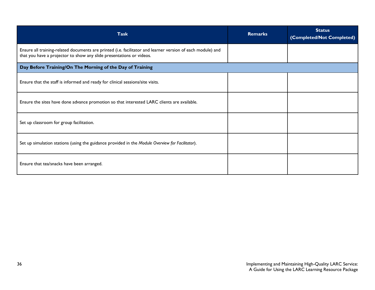<span id="page-41-0"></span>

| <b>Task</b>                                                                                                                                                                         | <b>Remarks</b> | <b>Status</b><br>(Completed/Not Completed) |  |  |  |  |  |  |  |
|-------------------------------------------------------------------------------------------------------------------------------------------------------------------------------------|----------------|--------------------------------------------|--|--|--|--|--|--|--|
| Ensure all training-related documents are printed (i.e. facilitator and learner version of each module) and<br>that you have a projector to show any slide presentations or videos. |                |                                            |  |  |  |  |  |  |  |
| Day Before Training/On The Morning of the Day of Training                                                                                                                           |                |                                            |  |  |  |  |  |  |  |
| Ensure that the staff is informed and ready for clinical sessions/site visits.                                                                                                      |                |                                            |  |  |  |  |  |  |  |
| Ensure the sites have done advance promotion so that interested LARC clients are available.                                                                                         |                |                                            |  |  |  |  |  |  |  |
| Set up classroom for group facilitation.                                                                                                                                            |                |                                            |  |  |  |  |  |  |  |
| Set up simulation stations (using the guidance provided in the Module Overview for Facilitator).                                                                                    |                |                                            |  |  |  |  |  |  |  |
| Ensure that tea/snacks have been arranged.                                                                                                                                          |                |                                            |  |  |  |  |  |  |  |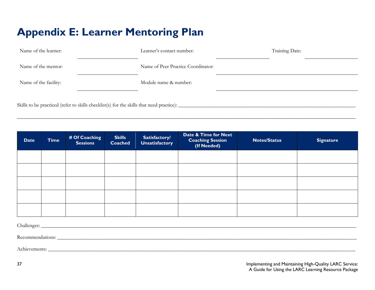# **Appendix E: Learner Mentoring Plan**

| Name of the learner:                                                                       | Learner's contact number:          | Training Date: |
|--------------------------------------------------------------------------------------------|------------------------------------|----------------|
| Name of the mentor:                                                                        | Name of Peer Practice Coordinator: |                |
| Name of the facility:                                                                      | Module name & number:              |                |
| Skills to be practiced (refer to skills checklist(s) for the skills that need practice): _ |                                    |                |

**\_\_\_\_\_\_\_\_\_\_\_\_\_\_\_\_\_\_\_\_\_\_\_\_\_\_\_\_\_\_\_\_\_\_\_\_\_\_\_\_\_\_\_\_\_\_\_\_\_\_\_\_\_\_\_\_\_\_\_\_\_\_\_\_\_\_\_\_\_\_\_\_\_\_\_\_\_\_\_\_\_\_\_\_\_\_\_\_\_\_\_\_\_\_\_\_\_\_\_\_\_\_\_\_\_\_\_\_\_\_\_\_\_\_\_\_\_\_\_\_\_\_\_\_\_\_\_\_\_\_**

| <b>Date</b> | <b>Time</b> | # Of Coaching<br><b>Sessions</b> | <b>Skills</b><br><b>Coached</b> | Satisfactory/<br>Unsatisfactory | Date & Time for Next<br><b>Coaching Session</b><br>(If Needed) | <b>Notes/Status</b> | <b>Signature</b> |
|-------------|-------------|----------------------------------|---------------------------------|---------------------------------|----------------------------------------------------------------|---------------------|------------------|
|             |             |                                  |                                 |                                 |                                                                |                     |                  |
|             |             |                                  |                                 |                                 |                                                                |                     |                  |
|             |             |                                  |                                 |                                 |                                                                |                     |                  |
|             |             |                                  |                                 |                                 |                                                                |                     |                  |
|             |             |                                  |                                 |                                 |                                                                |                     |                  |

 $\text{Challenges:}\quad$ 

Recommendations:

Achievements: **\_\_\_\_\_\_\_\_\_\_\_\_\_\_\_\_\_\_\_\_\_\_\_\_\_\_\_\_\_\_\_\_\_\_\_\_\_\_\_\_\_\_\_\_\_\_\_\_\_\_\_\_\_\_\_\_\_\_\_\_\_\_\_\_\_\_\_\_\_\_\_\_\_\_\_\_\_\_\_\_\_\_\_\_\_\_\_\_\_\_\_\_\_\_\_\_\_\_\_\_\_\_\_\_\_\_\_\_\_\_\_\_\_\_\_\_\_\_**